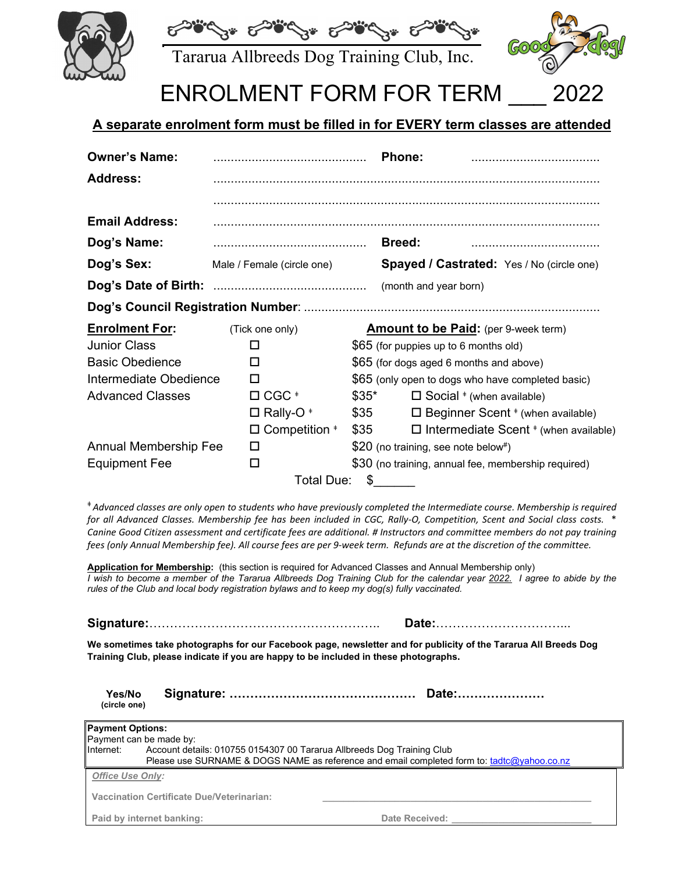



Tararua Allbreeds Dog Training Club, Inc.



# ENROLMENT FORM FOR TERM

### **A separate enrolment form must be filled in for EVERY term classes are attended**

| <b>Owner's Name:</b>         |                            |                                               |                                             | Phone:                                              |  |
|------------------------------|----------------------------|-----------------------------------------------|---------------------------------------------|-----------------------------------------------------|--|
| <b>Address:</b>              |                            |                                               |                                             |                                                     |  |
|                              |                            |                                               |                                             |                                                     |  |
| <b>Email Address:</b>        |                            |                                               |                                             |                                                     |  |
| Dog's Name:                  |                            |                                               |                                             | <b>Breed:</b>                                       |  |
| Dog's Sex:                   | Male / Female (circle one) |                                               |                                             | <b>Spayed / Castrated:</b> Yes / No (circle one)    |  |
|                              |                            |                                               |                                             | (month and year born)                               |  |
|                              |                            |                                               |                                             |                                                     |  |
| <b>Enrolment For:</b>        | (Tick one only)            |                                               | <b>Amount to be Paid:</b> (per 9-week term) |                                                     |  |
| <b>Junior Class</b>          |                            | П                                             |                                             | \$65 (for puppies up to 6 months old)               |  |
| <b>Basic Obedience</b>       |                            | □                                             |                                             | \$65 (for dogs aged 6 months and above)             |  |
| Intermediate Obedience       |                            | П                                             |                                             | \$65 (only open to dogs who have completed basic)   |  |
| <b>Advanced Classes</b>      |                            | $\Box$ CGC $^*$                               | $$35^*$                                     | $\Box$ Social $*$ (when available)                  |  |
|                              |                            | $\Box$ Rally-O <sup>*</sup>                   | \$35                                        | $\Box$ Beginner Scent $*$ (when available)          |  |
|                              |                            | $\Box$ Competition ${}^*$                     | \$35                                        | $\Box$ Intermediate Scent $*$ (when available)      |  |
| <b>Annual Membership Fee</b> |                            | \$20 (no training, see note below#)<br>$\Box$ |                                             |                                                     |  |
| <b>Equipment Fee</b>         |                            | □                                             |                                             | \$30 (no training, annual fee, membership required) |  |
|                              |                            | Total Due:                                    | \$                                          |                                                     |  |

\* Advanced classes are only open to students who have previously completed the Intermediate course. Membership is required for all Advanced Classes. Membership fee has been included in CGC, Rally-O, Competition, Scent and Social class costs. \* Canine Good Citizen assessment and certificate fees are additional. # Instructors and committee members do not pay training fees (only Annual Membership fee). All course fees are per 9-week term. Refunds are at the discretion of the committee.

**Application for Membership:** (this section is required for Advanced Classes and Annual Membership only) *I wish to become a member of the Tararua Allbreeds Dog Training Club for the calendar year 2022. I agree to abide by the rules of the Club and local body registration bylaws and to keep my dog(s) fully vaccinated.*

**Signature:**……………………………………………….. **Date:**…………………………...

**We sometimes take photographs for our Facebook page, newsletter and for publicity of the Tararua All Breeds Dog Training Club, please indicate if you are happy to be included in these photographs.**

| Yes/No       |  |
|--------------|--|
| (circle one) |  |

| <b>Payment Options:</b>                                                                                                                                                           |                                           |                |  |  |  |
|-----------------------------------------------------------------------------------------------------------------------------------------------------------------------------------|-------------------------------------------|----------------|--|--|--|
|                                                                                                                                                                                   | Payment can be made by:                   |                |  |  |  |
| Internet:<br>Account details: 010755 0154307 00 Tararua Allbreeds Dog Training Club<br>Please use SURNAME & DOGS NAME as reference and email completed form to: tadtc@yahoo.co.nz |                                           |                |  |  |  |
| <b>Office Use Only:</b>                                                                                                                                                           |                                           |                |  |  |  |
|                                                                                                                                                                                   | Vaccination Certificate Due/Veterinarian: |                |  |  |  |
|                                                                                                                                                                                   | Paid by internet banking:                 | Date Received: |  |  |  |